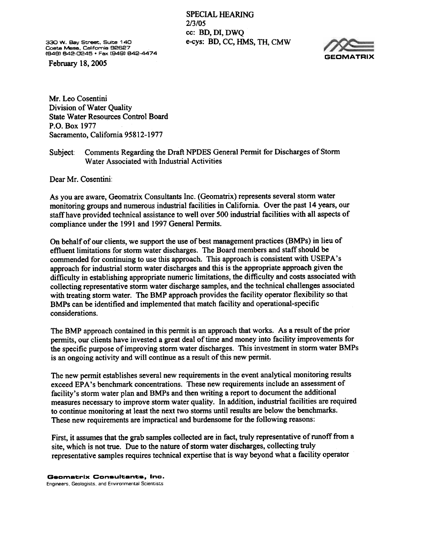SPECIAL HEARING 2/3/05 cc: BD, DI, DWQ 330 W. Bay Street. Suite 140 e-cys: BD, CC, HMS, TH, CMW

CostaMese. Celifomie 82627 (848) 842-0245 . Fax (948) 842-4474

February 18,2005



Mr. Leo Cosentini Division of Water Quality State Water Resources Control Board P.O. Box Sacramento, California 95812-1977

## Subject: Comments Regarding the Draft NPDES General Permit for Discharges of Storm<br>Water Associated with Industrial Activities

Dear Mr. Cosentini:

As you are aware, Geomatrix Consultants Inc. (Geomatrix) represents several storm water monitoring groups and numerous industrial facilities in California. Over the past 14 years, our staff have provided technical assistance to well over 500 industrial facilities with all aspects of compliance under the 1991 and 1997 General Permits.

On behalf of our clients, we support the use of best management practices (BMPs) in lieu of effluent limitations for storm water discharges. The Board members and staff should be commended for continuing to use this approach. This approach is consistent with USEPA's approach for industrial storm water discharges and this is the appropriate approach given the difficulty in establishing appropriate numeric limitations, the difficulty and costs associated with collecting representative storm water discharge samples, and the technical challenges associated with treating storm water. The BMP approach provides the facility operator flexibility so that BMPs can be identified and implemented that match facility and operational-specific considerations.

The BMP approach contained in this permit is an approach that works. As a result of the prior permits, our clients have invested a great deal of time and money into facility improvements for the specific purpose of improving storm water discharges. This investment in storm water BMPs is an ongoing activity and will continue as a result of this new permit.

The new permit establishes several new requirements in the event analytical monitoring results exceed EPA's benchmark concentrations. These new requirements include an assessment of facility's storm water plan and BMPs and then writing a report to document the additional measures necessary to improve storm water quality. In addition, industrial facilities are required to continue monitoring at least the next two storms until results are below the benchmarks. These new requirements are impractical and burdensome for the following reasons:

First, it assumes that the grab samples collected are in fact, truly representative of runoff from a site, which is not true. Due to the nature of storm water discharges, collecting truly representative samples requires technical expertise that is way beyond what a facility operator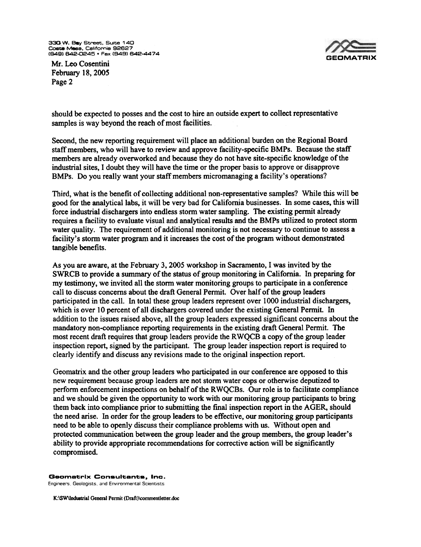330 W. Bay Street, Suite 140 **Costa Mesa, California 92627<br>(949) 642-0245 • Fax (949) 642-44** 



Mr. Leo Cosentini February 18,2005 Page 2

should be expected to posses and the cost to hire an outside expert to collect representative samples is way beyond the reach of most facilities.

Second, the new reporting requirement will place an additional burden on the Regional Board staff members, who will have to review and approve facility-specific BMPs. Because the staff members are already overworked and because they do not have site-specific knowledge of the industrial sites. I doubt they will have the time or the proper basis to approve or disapprove BMPs. Do you really want your staff members micromanaging a facility's operations?

Third, what is the benefit of collecting additional non-representative samples? While this will be good for the analytical labs, it will be very bad for California businesses. In some cases, this will force industrial dischargers into endless storm water sampling. The existing permit already requires a facility to evaluate visual and analytical results and the BMPs utilized to protect storm water quality. The requirement of additional monitoring is not necessary to continue to assess a facility's storm water program and it increases the cost of the program without demonstrated tangible benefits.

As you are aware, at the February 3, 2005 workshop in Sacramento, Iwas invited by the SWRCB to provide a summary of the status of group monitoring in California. In preparing for my testimony, we invited all the storm water monitoring groups to participate in a conference call to discuss concerns about the draft General Permit. Over half of the group leaders participated in the call. In total these group leaders represent over 1000 industrial dischargers, which is over 10 percent of all dischargers covered under the existing General Permit. In addition to the issues raised above, all the group leaders expressed significant concerns about the mandatory non-compliance reporting requirements in the existing draft General Permit. The most recent draft requires that group leaders provide the RWQCB a copy of the group leader inspection report, signed by the participant. The group leader inspection report is required to clearly identify and discuss any revisions made to the original inspection report.

Geomatrix and the other group leaders who participated in our conference are opposed to this new requirement because group leaders are not storm water cops or otherwise deputized to perform enforcement inspections on behalf of the RWOCBs. Our role is to facilitate compliance and we should be given the opportunity to work with our monitoring group participants to bring them back into compliance prior to submitting the final inspection report in the AGER, should the need arise. In order for the group leaders to be effective, our monitoring group participants need to be able to openly discuss their compliance problems with us. Without open and protected communication between the group leader and the group members, the group leader's ability to provide appropriate recommendations for corrective action will be significantly compromised

## Geometrlx Consultants, Inc.

Engineers. Geologists, and Environmental Scientists